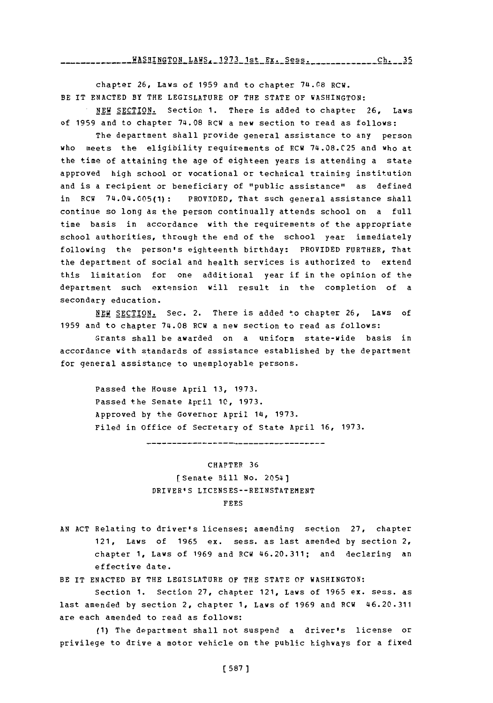chapter **26,** Laws of **1959** and to chapter **741.08** RCW. BE IT **ENACTED** BY THE LEGISLATURE OF THE **STATE** OF WASHINGTON:

**.NEW** SECTION. Section **1.** There is added to chapter **26,** Laws of **1959** and to chapter **74.08** RCW a new section to read as **follows:**

The department shall provide general assistance to any person who meets the eligibility requirements of RCW **74.08.C25** and who at the time of attaining the age of eighteen years is attending a state approved high school or vocational or technical training institution and is a recipient or beneficiary of "public assistance" as defined in RCW 74.04.005(1): PROVIDED, That such general assistance shall continue so long as the person continually attends school on a full time basis in accordance with the requirements of the appropriate school authorities, through the end of the school year immediately following the person's eighteenth birthday: PROVIDED FURTHER, That the department of social and health services is authorized to extend this limitation for one additional year if in the opinion of the department such extension will result in the completion of a secondary education.

**NEW** SECTION. Sec. 2. There is added to chapter **26,** Laws of **1959** and to chapter 74.08 RCW a new section to read as follows:

Grants shall be awarded on a uniform state-wide basis in accordance with standards of assistance established **by** the department for general assistance to unemployable persons.

Passed the House April **13, 1973.** Passed the Senate April **10, 1973.** Approved **by** the Governor April 14, **1973.** Filed in office of Secretary of State April **16, 1973.**

**CHAPTER 36** [Senate Bill No. 2054) DRIVER'S **LICENSES--REINSTATEMENT FEES**

**AN ACT** Relating to driver's licenses; amending section **27,** chapter 121, Laws of **1965** ex. sess. as last amended **by** section 2, chapter **1,** Laws of **1969** and RCW 46.20.311; and declaring an effective date.

BE IT **ENACTED** BY THE LEGISLATURE OF THE **STATE** OF WASHINGTON:

Section **1.** Section **27,** chapter 121, Laws of **1965** ex. sess. as last amended **by** section 2, chapter **1,** Laws of **1969** and PCW 46.20.311 are each amended to read as follows:

**(1)** The department shall not suspend a driver's license or privilege to drive a motor vehicle on the public highways for a fixed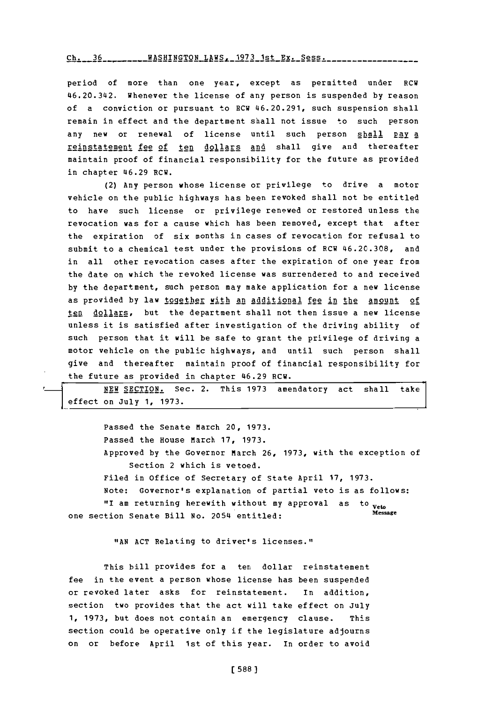ch.~~--- **-6-A---TN-AW--97----x.Ses** rh. **<sup>16</sup> WASHTNgTON** LAWS- **1973** 1st Ex. Spss.

period of more than one year, except as permitted under RCW 46.20.342. Whenever the license of any person is suspended **by** reason of a conviction or pursuant to RCW 46.20.291, such suspension shall remain in effect and the department shall not issue to such person any new or renewal of license until such person shall pay a reinstatement fee of ten dollars and shall give and thereafter maintain proof of financial responsibility for the future as provided in chapter 46.29 RCW.

(2) Any person whose license or privilege to drive a motor vehicle on the public highways has been revoked shall not be entitled to have such license or privilege renewed or restored unless the revocation was for a cause which has been removed, except that after the expiration of six months in cases of revocation for refusal to submit to a chemical test under the provisions of RCW **46.2C.308,** and in all other revocation cases after the expiration of one year from the date on which the revoked license was surrendered to and received **by** the department, such person may make application for a new license as provided by law together with an additional fee in the amount of ten dollars, but the department shall not then issue a new license unless it is satisfied after investigation of the driving ability of such person that it will be safe to grant the privilege of driving a motor vehicle on the public highways, and until such person shall give and thereafter maintain proof of financial responsibility for the future as provided in chapter 46.29 RCW.

| NEW SECTION. Sec. 2. This 1973 amendatory act shall take |  |  |  |  |
|----------------------------------------------------------|--|--|--|--|
|                                                          |  |  |  |  |
| $\vert$ effect on July 1, 1973.                          |  |  |  |  |

 $\mathbf{r}$ 

Passed the Senate March 20, **1973.** Passed the House March **17, 1973.** Approved **by** the Governor March **26, 1973,** with the exception of Section 2 which is vetoed. Filed in office of Secretary of State April **17, 1973.** Note: Governor's explanation of partial veto is as follows: "I am returning herewith without my approval as to veto one section Senate Bill No. 2054 entitled:

**"AN ACT** Relating to driver's licenses.",

This bill provides for a ten dollar reinstatement fee in the event a person whose license has been suspended or revoked later asks for reinstatement. in addition, section two provides that the act will take effect on July **1, 1973,** but does not contain an emergency clause. This section could be operative only if the legislature adjourns on or before April 1st of this year. In order to avoid